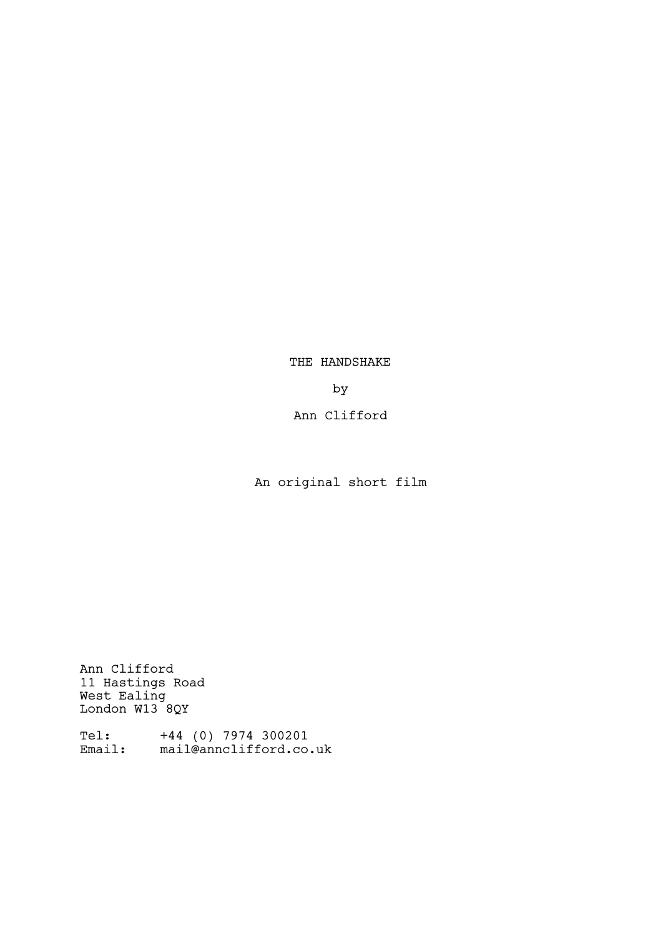THE HANDSHAKE

by

Ann Clifford

An original short film

Ann Clifford 11 Hastings Road West Ealing London W13 8QY

Tel: +44 (0) 7974 300201 Email: mail@annclifford.co.uk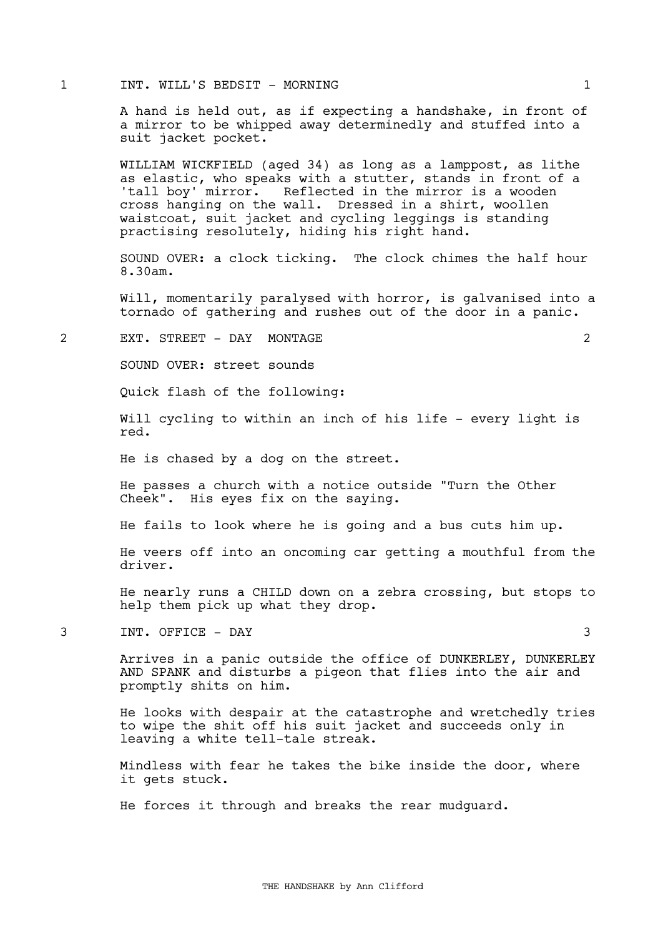## 1 INT. WILL'S BEDSIT - MORNING 1

A hand is held out, as if expecting a handshake, in front of a mirror to be whipped away determinedly and stuffed into a suit jacket pocket.

WILLIAM WICKFIELD (aged 34) as long as a lamppost, as lithe as elastic, who speaks with a stutter, stands in front of a 'tall boy' mirror. Reflected in the mirror is a wooden cross hanging on the wall. Dressed in a shirt, woollen waistcoat, suit jacket and cycling leggings is standing practising resolutely, hiding his right hand.

SOUND OVER: a clock ticking. The clock chimes the half hour 8.30am.

Will, momentarily paralysed with horror, is galvanised into a tornado of gathering and rushes out of the door in a panic.

### 2 EXT. STREET - DAY MONTAGE 2

SOUND OVER: street sounds

Quick flash of the following:

Will cycling to within an inch of his life - every light is red.

He is chased by a dog on the street.

He passes a church with a notice outside "Turn the Other Cheek". His eyes fix on the saying.

He fails to look where he is going and a bus cuts him up.

He veers off into an oncoming car getting a mouthful from the driver.

He nearly runs a CHILD down on a zebra crossing, but stops to help them pick up what they drop.

3 INT. OFFICE - DAY 3

Arrives in a panic outside the office of DUNKERLEY, DUNKERLEY AND SPANK and disturbs a pigeon that flies into the air and promptly shits on him.

He looks with despair at the catastrophe and wretchedly tries to wipe the shit off his suit jacket and succeeds only in leaving a white tell-tale streak.

Mindless with fear he takes the bike inside the door, where it gets stuck.

He forces it through and breaks the rear mudguard.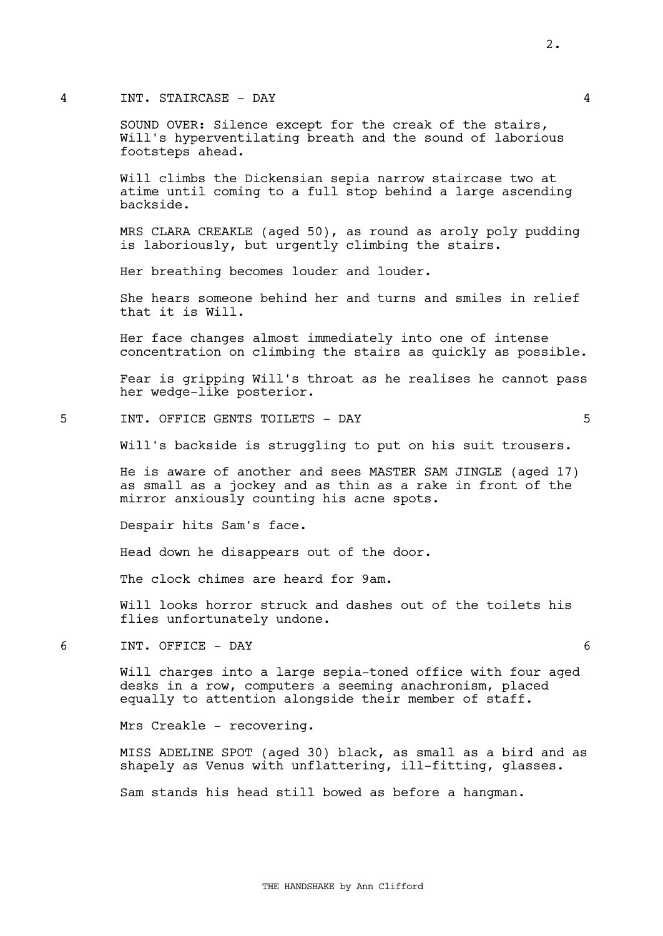## 4 INT. STAIRCASE - DAY 4

SOUND OVER: Silence except for the creak of the stairs, Will's hyperventilating breath and the sound of laborious footsteps ahead.

Will climbs the Dickensian sepia narrow staircase two at atime until coming to a full stop behind a large ascending backside.

MRS CLARA CREAKLE (aged 50), as round as aroly poly pudding is laboriously, but urgently climbing the stairs.

Her breathing becomes louder and louder.

She hears someone behind her and turns and smiles in relief that it is Will.

Her face changes almost immediately into one of intense concentration on climbing the stairs as quickly as possible.

Fear is gripping Will's throat as he realises he cannot pass her wedge-like posterior.

# 5 INT. OFFICE GENTS TOILETS - DAY 5

Will's backside is struggling to put on his suit trousers.

He is aware of another and sees MASTER SAM JINGLE (aged 17) as small as a jockey and as thin as a rake in front of the mirror anxiously counting his acne spots.

Despair hits Sam's face.

Head down he disappears out of the door.

The clock chimes are heard for 9am.

Will looks horror struck and dashes out of the toilets his flies unfortunately undone.

6 INT. OFFICE - DAY 6

Will charges into a large sepia-toned office with four aged desks in a row, computers a seeming anachronism, placed equally to attention alongside their member of staff.

Mrs Creakle - recovering.

MISS ADELINE SPOT (aged 30) black, as small as a bird and as shapely as Venus with unflattering, ill-fitting, glasses.

Sam stands his head still bowed as before a hangman.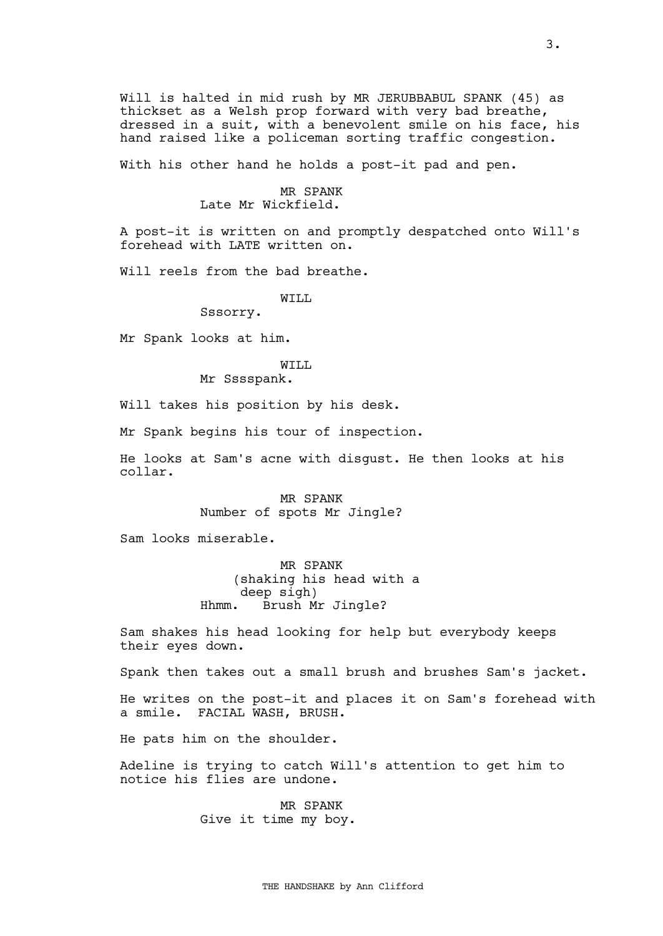Will is halted in mid rush by MR JERUBBABUL SPANK (45) as thickset as a Welsh prop forward with very bad breathe, dressed in a suit, with a benevolent smile on his face, his hand raised like a policeman sorting traffic congestion.

With his other hand he holds a post-it pad and pen.

### MR SPANK

# Late Mr Wickfield.

A post-it is written on and promptly despatched onto Will's forehead with LATE written on.

Will reels from the bad breathe.

WILL

Sssorry.

Mr Spank looks at him.

## WILL

Mr Sssspank.

Will takes his position by his desk.

Mr Spank begins his tour of inspection.

He looks at Sam's acne with disgust. He then looks at his collar.

> MR SPANK Number of spots Mr Jingle?

Sam looks miserable.

MR SPANK (shaking his head with a deep sigh) Hhmm. Brush Mr Jingle?

Sam shakes his head looking for help but everybody keeps their eyes down.

Spank then takes out a small brush and brushes Sam's jacket.

He writes on the post-it and places it on Sam's forehead with a smile. FACIAL WASH, BRUSH.

He pats him on the shoulder.

Adeline is trying to catch Will's attention to get him to notice his flies are undone.

> MR SPANK Give it time my boy.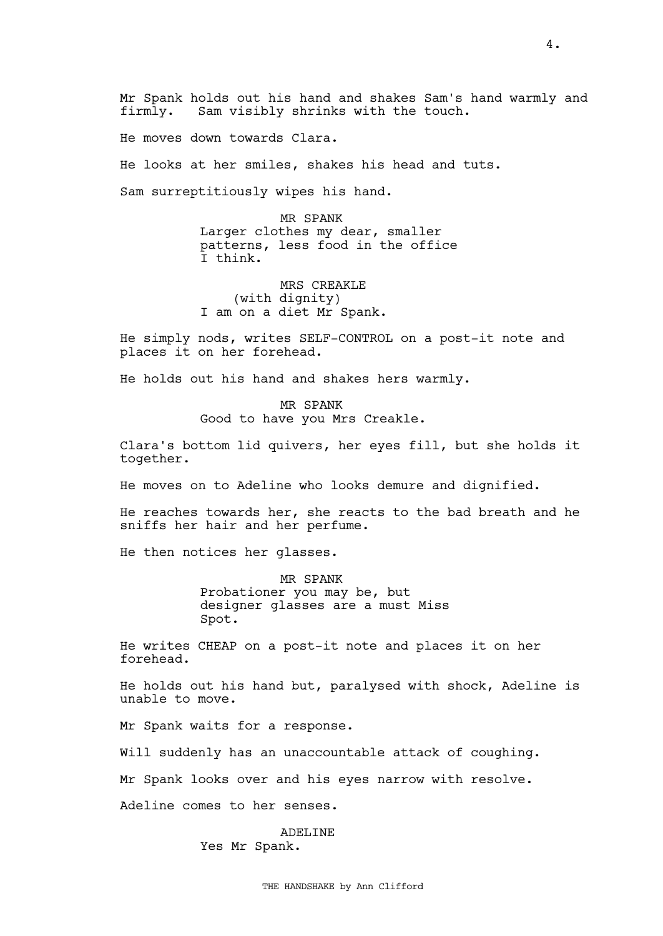He moves down towards Clara.

He looks at her smiles, shakes his head and tuts.

Sam surreptitiously wipes his hand.

MR SPANK Larger clothes my dear, smaller patterns, less food in the office I think.

MRS CREAKLE (with dignity) I am on a diet Mr Spank.

He simply nods, writes SELF-CONTROL on a post-it note and places it on her forehead.

He holds out his hand and shakes hers warmly.

MR SPANK Good to have you Mrs Creakle.

Clara's bottom lid quivers, her eyes fill, but she holds it together.

He moves on to Adeline who looks demure and dignified.

He reaches towards her, she reacts to the bad breath and he sniffs her hair and her perfume.

He then notices her glasses.

MR SPANK Probationer you may be, but designer glasses are a must Miss Spot.

He writes CHEAP on a post-it note and places it on her forehead.

He holds out his hand but, paralysed with shock, Adeline is unable to move.

Mr Spank waits for a response.

Will suddenly has an unaccountable attack of coughing.

Mr Spank looks over and his eyes narrow with resolve.

Adeline comes to her senses.

ADELINE Yes Mr Spank.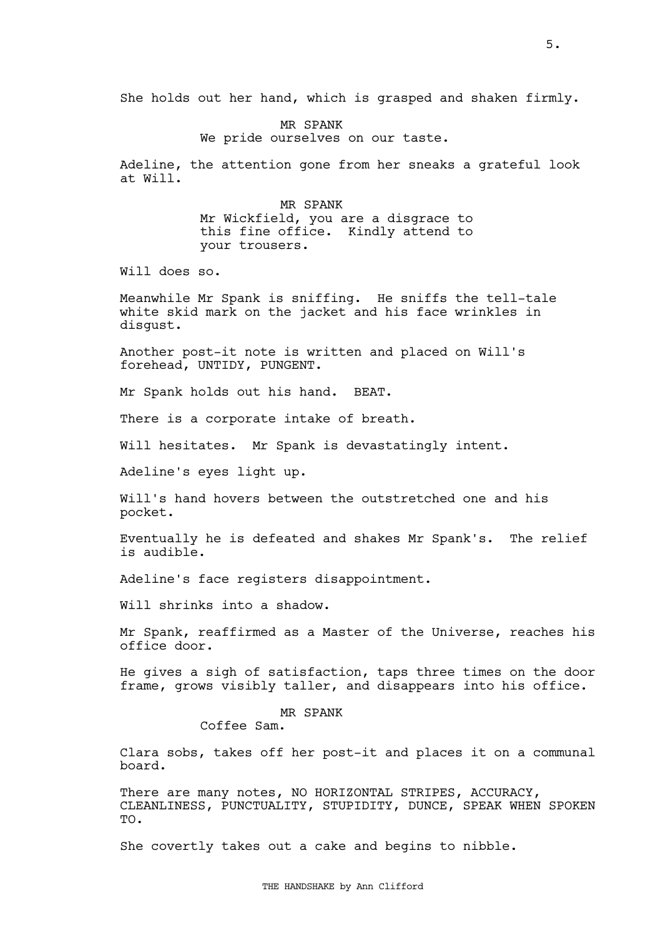She holds out her hand, which is grasped and shaken firmly.

MR SPANK We pride ourselves on our taste.

Adeline, the attention gone from her sneaks a grateful look at Will.

> MR SPANK Mr Wickfield, you are a disgrace to this fine office. Kindly attend to your trousers.

Will does so.

Meanwhile Mr Spank is sniffing. He sniffs the tell-tale white skid mark on the jacket and his face wrinkles in disgust.

Another post-it note is written and placed on Will's forehead, UNTIDY, PUNGENT.

Mr Spank holds out his hand. BEAT.

There is a corporate intake of breath.

Will hesitates. Mr Spank is devastatingly intent.

Adeline's eyes light up.

Will's hand hovers between the outstretched one and his pocket.

Eventually he is defeated and shakes Mr Spank's. The relief is audible.

Adeline's face registers disappointment.

Will shrinks into a shadow.

Mr Spank, reaffirmed as a Master of the Universe, reaches his office door.

He gives a sigh of satisfaction, taps three times on the door frame, grows visibly taller, and disappears into his office.

# MR SPANK

Coffee Sam.

Clara sobs, takes off her post-it and places it on a communal board.

There are many notes, NO HORIZONTAL STRIPES, ACCURACY, CLEANLINESS, PUNCTUALITY, STUPIDITY, DUNCE, SPEAK WHEN SPOKEN TO.

She covertly takes out a cake and begins to nibble.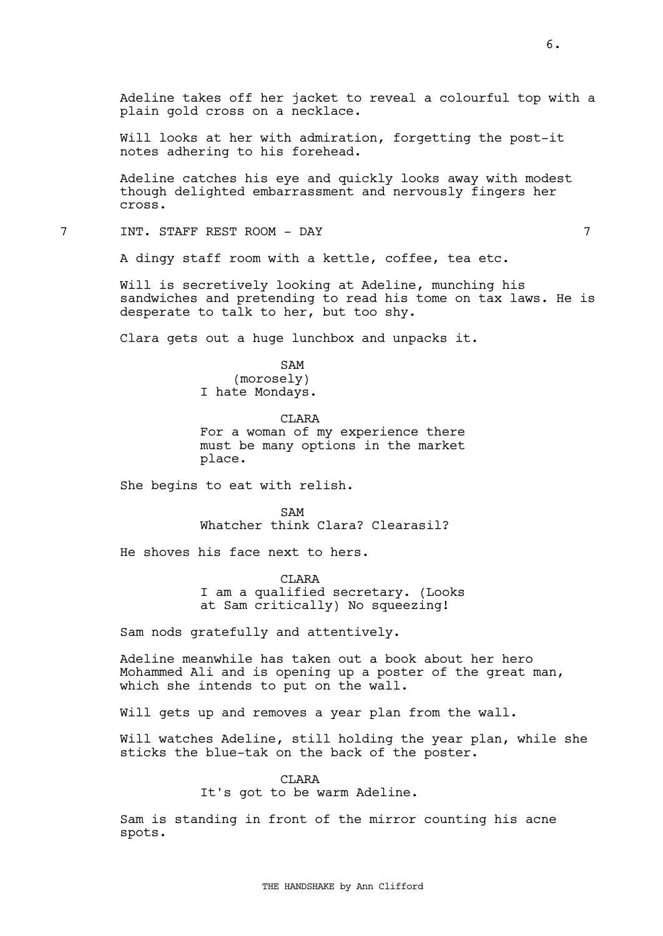Adeline takes off her jacket to reveal a colourful top with a plain gold cross on a necklace.

Will looks at her with admiration, forgetting the post-it notes adhering to his forehead.

Adeline catches his eye and quickly looks away with modest though delighted embarrassment and nervously fingers her cross.

7 INT. STAFF REST ROOM - DAY 7

A dingy staff room with a kettle, coffee, tea etc.

Will is secretively looking at Adeline, munching his sandwiches and pretending to read his tome on tax laws. He is desperate to talk to her, but too shy.

Clara gets out a huge lunchbox and unpacks it.

SAM (morosely) I hate Mondays.

**CLARA** For a woman of my experience there must be many options in the market place.

She begins to eat with relish.

SAM Whatcher think Clara? Clearasil?

He shoves his face next to hers.

CLARA I am a qualified secretary. (Looks at Sam critically) No squeezing!

Sam nods gratefully and attentively.

Adeline meanwhile has taken out a book about her hero Mohammed Ali and is opening up a poster of the great man, which she intends to put on the wall.

Will gets up and removes a year plan from the wall.

Will watches Adeline, still holding the year plan, while she sticks the blue-tak on the back of the poster.

CLARA

It's got to be warm Adeline.

Sam is standing in front of the mirror counting his acne spots.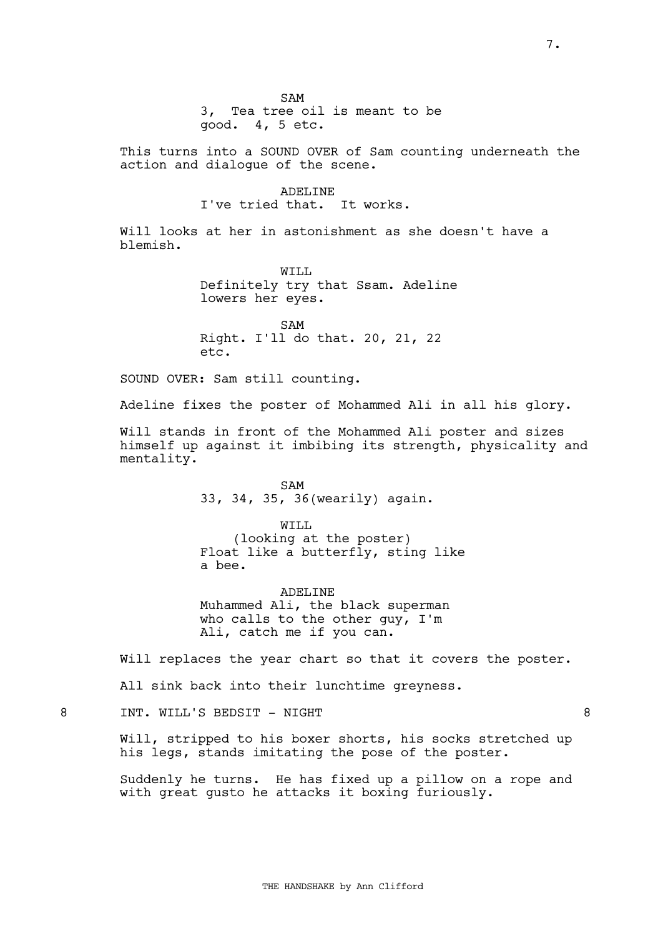$SAM$ 

3, Tea tree oil is meant to be good. 4, 5 etc.

This turns into a SOUND OVER of Sam counting underneath the action and dialogue of the scene.

> ADELINE I've tried that. It works.

Will looks at her in astonishment as she doesn't have a blemish.

> WTT.T. Definitely try that Ssam. Adeline lowers her eyes.

SAM Right. I'll do that. 20, 21, 22 etc.

SOUND OVER: Sam still counting.

Adeline fixes the poster of Mohammed Ali in all his glory.

Will stands in front of the Mohammed Ali poster and sizes himself up against it imbibing its strength, physicality and mentality.

> SAM 33, 34, 35, 36(wearily) again.

WILL (looking at the poster) Float like a butterfly, sting like a bee.

ADELINE Muhammed Ali, the black superman who calls to the other guy, I'm Ali, catch me if you can.

Will replaces the year chart so that it covers the poster.

All sink back into their lunchtime greyness.

8 INT. WILL'S BEDSIT - NIGHT 8

Will, stripped to his boxer shorts, his socks stretched up his legs, stands imitating the pose of the poster.

Suddenly he turns. He has fixed up a pillow on a rope and with great gusto he attacks it boxing furiously.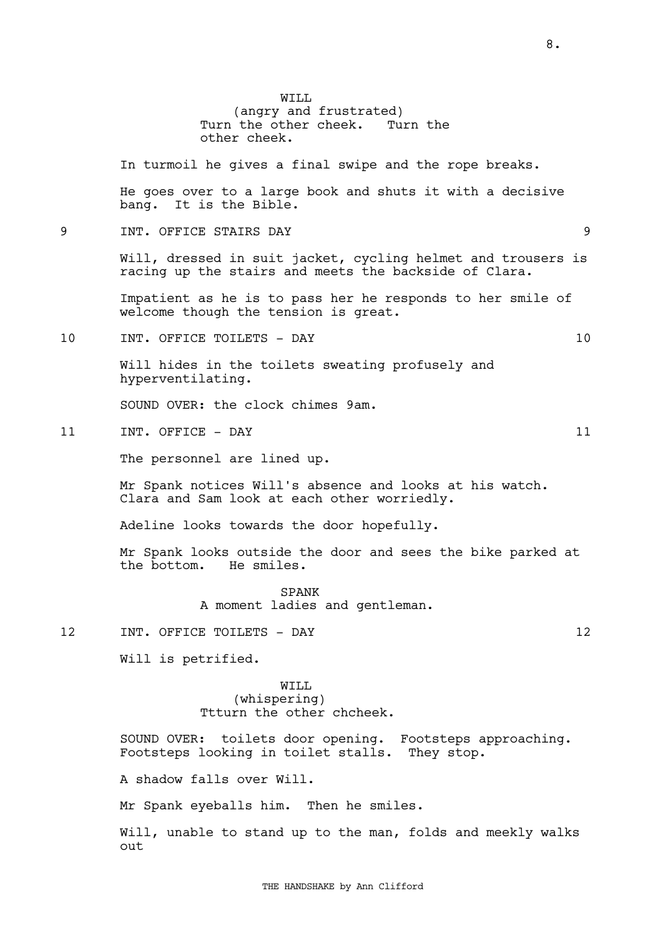WTT.T. (angry and frustrated) Turn the other cheek. Turn the other cheek.

In turmoil he gives a final swipe and the rope breaks.

He goes over to a large book and shuts it with a decisive bang. It is the Bible.

9 INT. OFFICE STAIRS DAY 9

Will, dressed in suit jacket, cycling helmet and trousers is racing up the stairs and meets the backside of Clara.

Impatient as he is to pass her he responds to her smile of welcome though the tension is great.

10 INT. OFFICE TOILETS - DAY 10

Will hides in the toilets sweating profusely and hyperventilating.

SOUND OVER: the clock chimes 9am.

11 INT. OFFICE - DAY 11

The personnel are lined up.

Mr Spank notices Will's absence and looks at his watch. Clara and Sam look at each other worriedly.

Adeline looks towards the door hopefully.

Mr Spank looks outside the door and sees the bike parked at the bottom. He smiles.

> SPANK A moment ladies and gentleman.

12 INT. OFFICE TOILETS - DAY 12

Will is petrified.

WILL (whispering) Ttturn the other chcheek.

SOUND OVER: toilets door opening. Footsteps approaching. Footsteps looking in toilet stalls. They stop.

A shadow falls over Will.

Mr Spank eyeballs him. Then he smiles.

Will, unable to stand up to the man, folds and meekly walks out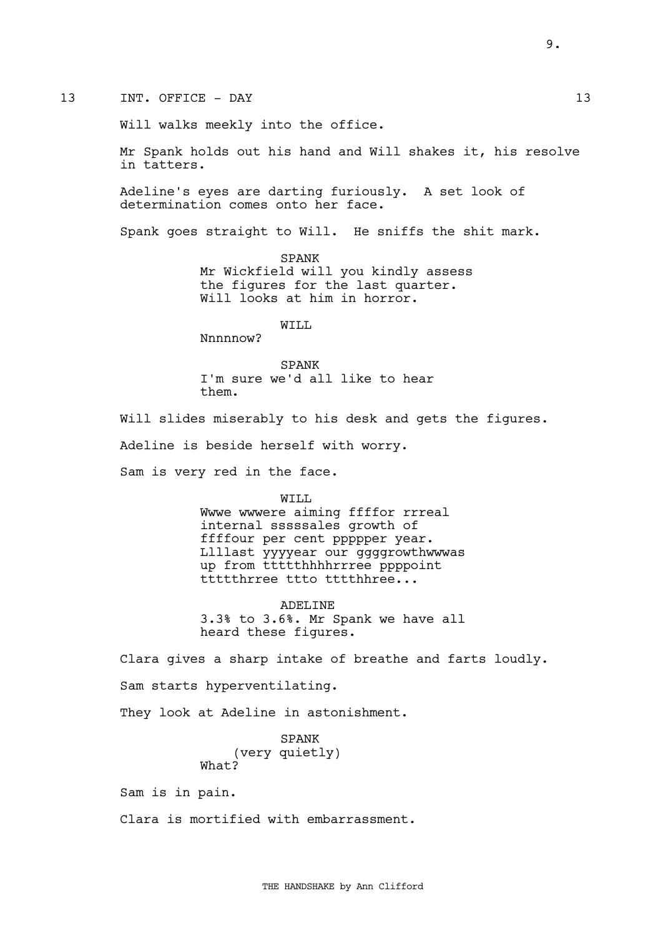Will walks meekly into the office.

Mr Spank holds out his hand and Will shakes it, his resolve in tatters.

Adeline's eyes are darting furiously. A set look of determination comes onto her face.

Spank goes straight to Will. He sniffs the shit mark.

SPANK Mr Wickfield will you kindly assess the figures for the last quarter. Will looks at him in horror.

WTT.T.

Nnnnnow?

SPANK I'm sure we'd all like to hear them.

Will slides miserably to his desk and gets the figures.

Adeline is beside herself with worry.

Sam is very red in the face.

WILL

Wwwe wwwere aiming ffffor rrreal internal sssssales growth of ffffour per cent ppppper year. Llllast yyyyear our ggggrowthwwwas up from ttttthhhhrrree ppppoint ttttthrree ttto tttthhree...

ADELINE 3.3% to 3.6%. Mr Spank we have all heard these figures.

Clara gives a sharp intake of breathe and farts loudly.

Sam starts hyperventilating.

They look at Adeline in astonishment.

SPANK (very quietly) What?

Sam is in pain.

Clara is mortified with embarrassment.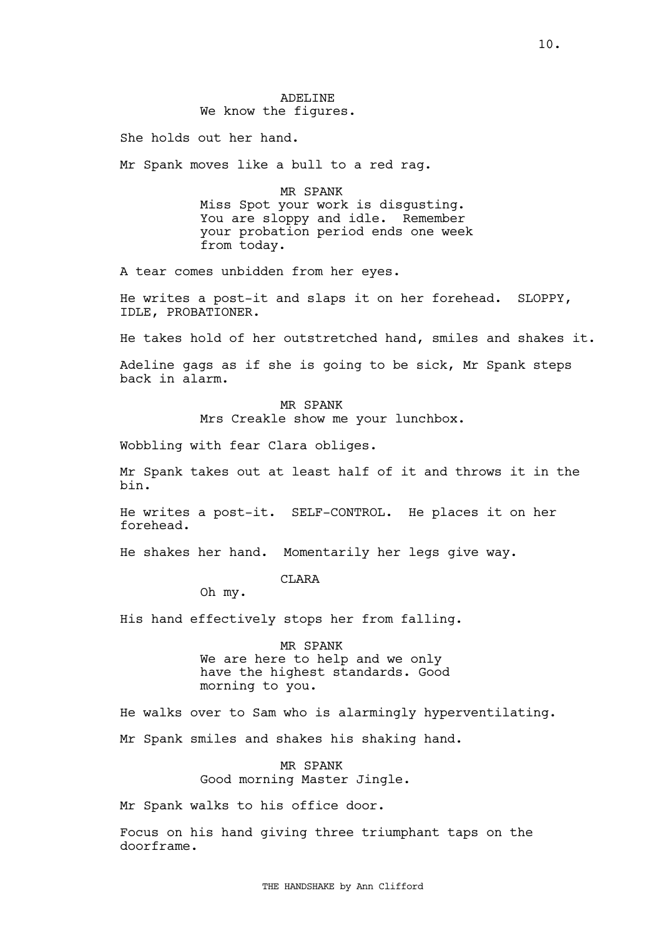# ADELINE We know the figures.

She holds out her hand.

Mr Spank moves like a bull to a red rag.

MR SPANK Miss Spot your work is disgusting. You are sloppy and idle. Remember your probation period ends one week from today.

A tear comes unbidden from her eyes.

He writes a post-it and slaps it on her forehead. SLOPPY, IDLE, PROBATIONER.

He takes hold of her outstretched hand, smiles and shakes it.

Adeline gags as if she is going to be sick, Mr Spank steps back in alarm.

> MR SPANK Mrs Creakle show me your lunchbox.

Wobbling with fear Clara obliges.

Mr Spank takes out at least half of it and throws it in the bin.

He writes a post-it. SELF-CONTROL. He places it on her forehead.

He shakes her hand. Momentarily her legs give way.

CLARA

Oh my.

His hand effectively stops her from falling.

MR SPANK We are here to help and we only have the highest standards. Good morning to you.

He walks over to Sam who is alarmingly hyperventilating.

Mr Spank smiles and shakes his shaking hand.

MR SPANK Good morning Master Jingle.

Mr Spank walks to his office door.

Focus on his hand giving three triumphant taps on the doorframe.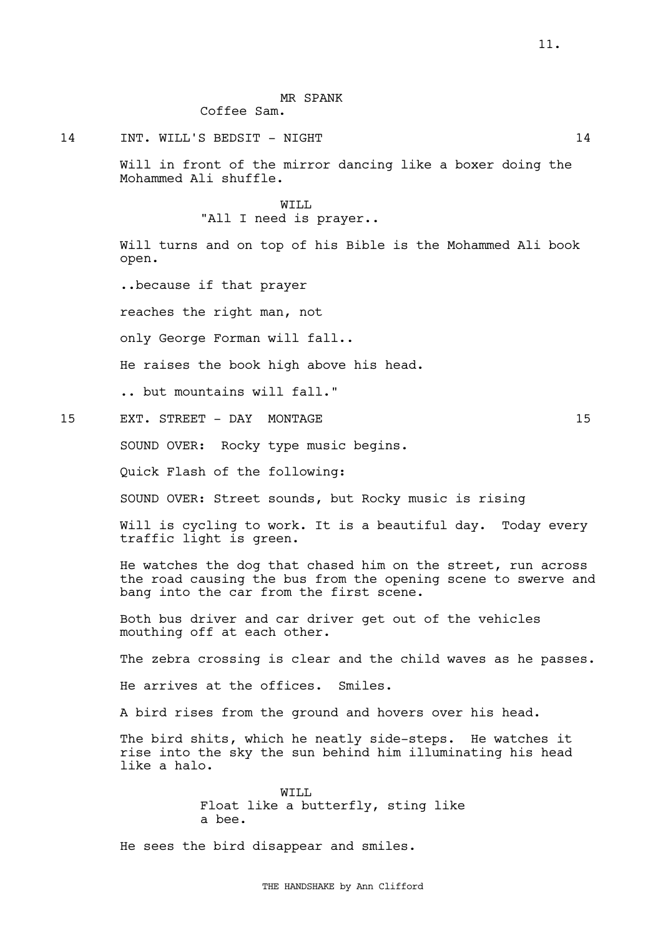### MR SPANK

Coffee Sam.

14 INT. WILL'S BEDSIT - NIGHT 14

Will in front of the mirror dancing like a boxer doing the Mohammed Ali shuffle.

# WTT.T. "All I need is prayer..

Will turns and on top of his Bible is the Mohammed Ali book open.

..because if that prayer

reaches the right man, not

only George Forman will fall..

He raises the book high above his head.

.. but mountains will fall."

15 EXT. STREET - DAY MONTAGE 15 15

SOUND OVER: Rocky type music begins.

Quick Flash of the following:

SOUND OVER: Street sounds, but Rocky music is rising

Will is cycling to work. It is a beautiful day. Today every traffic light is green.

He watches the dog that chased him on the street, run across the road causing the bus from the opening scene to swerve and bang into the car from the first scene.

Both bus driver and car driver get out of the vehicles mouthing off at each other.

The zebra crossing is clear and the child waves as he passes.

He arrives at the offices. Smiles.

A bird rises from the ground and hovers over his head.

The bird shits, which he neatly side-steps. He watches it rise into the sky the sun behind him illuminating his head like a halo.

> WILL Float like a butterfly, sting like a bee.

He sees the bird disappear and smiles.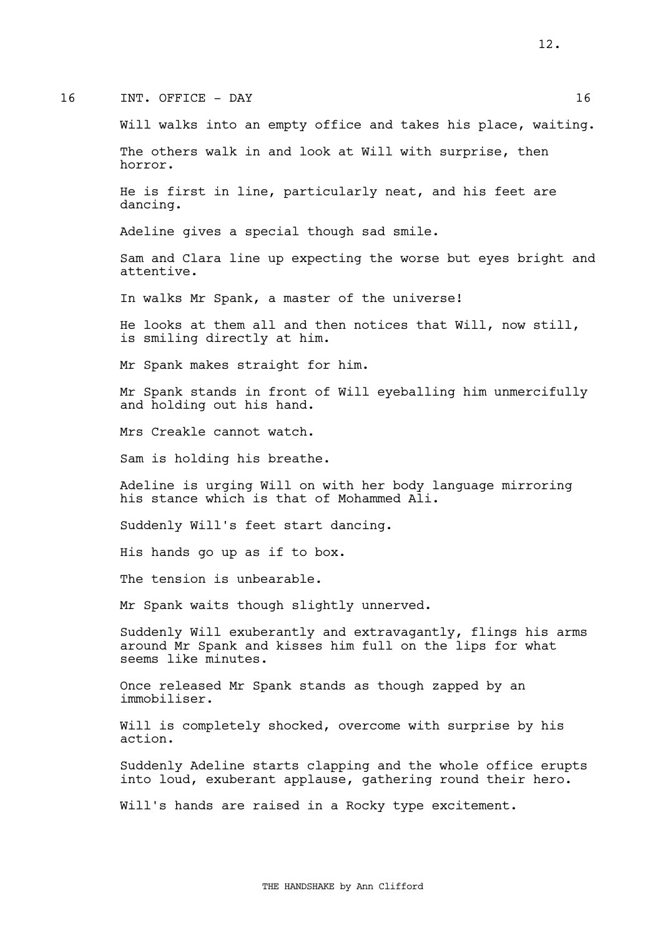### 16 INT. OFFICE - DAY 16

Will walks into an empty office and takes his place, waiting.

The others walk in and look at Will with surprise, then horror.

He is first in line, particularly neat, and his feet are dancing.

Adeline gives a special though sad smile.

Sam and Clara line up expecting the worse but eyes bright and attentive.

In walks Mr Spank, a master of the universe!

He looks at them all and then notices that Will, now still, is smiling directly at him.

Mr Spank makes straight for him.

Mr Spank stands in front of Will eyeballing him unmercifully and holding out his hand.

Mrs Creakle cannot watch.

Sam is holding his breathe.

Adeline is urging Will on with her body language mirroring his stance which is that of Mohammed Ali.

Suddenly Will's feet start dancing.

His hands go up as if to box.

The tension is unbearable.

Mr Spank waits though slightly unnerved.

Suddenly Will exuberantly and extravagantly, flings his arms around Mr Spank and kisses him full on the lips for what seems like minutes.

Once released Mr Spank stands as though zapped by an immobiliser.

Will is completely shocked, overcome with surprise by his action.

Suddenly Adeline starts clapping and the whole office erupts into loud, exuberant applause, gathering round their hero.

Will's hands are raised in a Rocky type excitement.